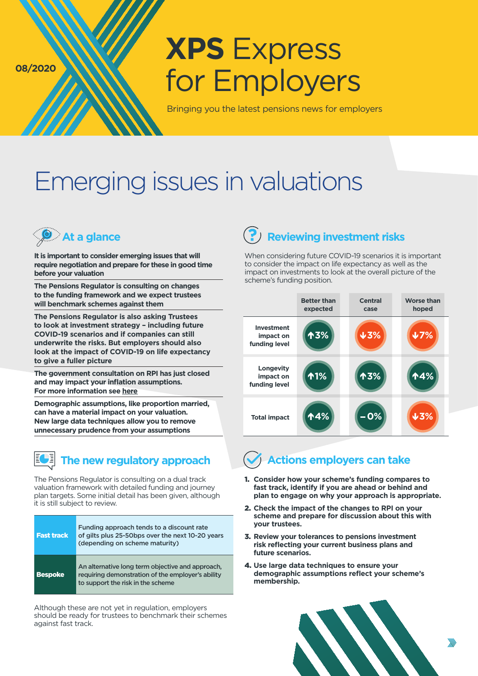**08/2020**

# **XPS** Express for Employers

Bringing you the latest pensions news for employers

## Emerging issues in valuations

**It is important to consider emerging issues that will require negotiation and prepare for these in good time before your valuation**

**The Pensions Regulator is consulting on changes to the funding framework and we expect trustees will benchmark schemes against them**

**The Pensions Regulator is also asking Trustees to look at investment strategy – including future COVID-19 scenarios and if companies can still underwrite the risks. But employers should also look at the impact of COVID-19 on life expectancy to give a fuller picture**

**The government consultation on RPI has just closed and may impact your inflation assumptions. For more information see [here](https://www.xpsgroup.com/media/2451/xps-express-november.pdf)**

**Demographic assumptions, like proportion married, can have a material impact on your valuation. New large data techniques allow you to remove unnecessary prudence from your assumptions**



The Pensions Regulator is consulting on a dual track valuation framework with detailed funding and journey plan targets. Some initial detail has been given, although it is still subject to review.

| <b>Fast track</b> | Funding approach tends to a discount rate<br>of gilts plus 25-50bps over the next 10-20 years<br>(depending on scheme maturity)            |
|-------------------|--------------------------------------------------------------------------------------------------------------------------------------------|
| <b>Bespoke</b>    | An alternative long term objective and approach,<br>requiring demonstration of the employer's ability<br>to support the risk in the scheme |

Although these are not yet in regulation, employers should be ready for trustees to benchmark their schemes against fast track.

#### **At a glance Reviewing investment risks**

When considering future COVID-19 scenarios it is important to consider the impact on life expectancy as well as the impact on investments to look at the overall picture of the scheme's funding position.

|                                                 | <b>Better than</b><br>expected | <b>Central</b><br>case | <b>Worse than</b><br>hoped |
|-------------------------------------------------|--------------------------------|------------------------|----------------------------|
| <b>Investment</b><br>impact on<br>funding level | <b>个3%</b>                     | 43%                    | 47%                        |
| <b>Longevity</b><br>impact on<br>funding level  | ↑1%                            | ↑3%                    | ↑4%                        |
| <b>Total impact</b>                             | 14%                            | $-0%$                  | $\overline{4}$ 3%          |

**The new regulatory approach**  $\left(\sqrt{\right)}$  Actions employers can take

- 1. **Consider how your scheme's funding compares to fast track, identify if you are ahead or behind and plan to engage on why your approach is appropriate.**
- 2. **Check the impact of the changes to RPI on your scheme and prepare for discussion about this with your trustees.**
- 3. **Review your tolerances to pensions investment risk reflecting your current business plans and future scenarios.**
- 4. **Use large data techniques to ensure your demographic assumptions reflect your scheme's membership.**